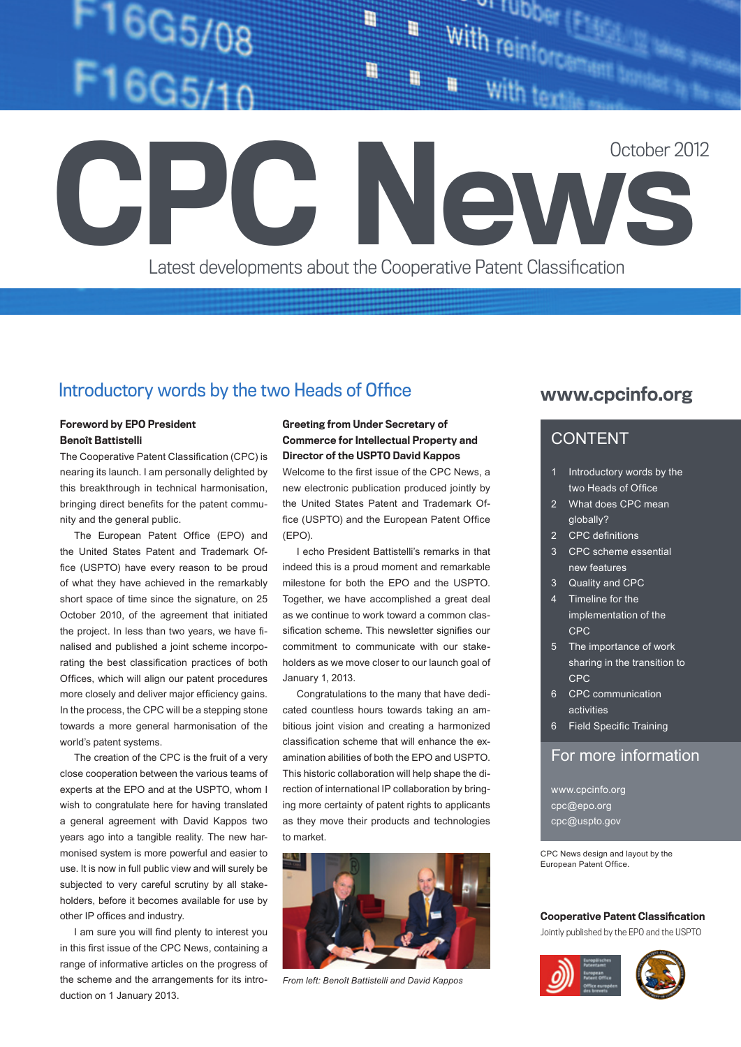# 16G5/08

Ħ H

on rupper With reinforcement bond

October 2012

Latest developments about the Cooperative Patent Classification

# Introductory words by the two Heads of Office www.cpcinfo.org

### Foreword by EPO President Benoît Battistelli

The Cooperative Patent Classification (CPC) is nearing its launch. I am personally delighted by this breakthrough in technical harmonisation, bringing direct benefits for the patent community and the general public.

The European Patent Office (EPO) and the United States Patent and Trademark Office (USPTO) have every reason to be proud of what they have achieved in the remarkably short space of time since the signature, on 25 October 2010, of the agreement that initiated the project. In less than two years, we have finalised and published a joint scheme incorporating the best classification practices of both Offices, which will align our patent procedures more closely and deliver major efficiency gains. In the process, the CPC will be a stepping stone towards a more general harmonisation of the world's patent systems.

The creation of the CPC is the fruit of a very close cooperation between the various teams of experts at the EPO and at the USPTO, whom I wish to congratulate here for having translated a general agreement with David Kappos two years ago into a tangible reality. The new harmonised system is more powerful and easier to use. It is now in full public view and will surely be subjected to very careful scrutiny by all stakeholders, before it becomes available for use by other IP offices and industry.

I am sure you will find plenty to interest you in this first issue of the CPC News, containing a range of informative articles on the progress of the scheme and the arrangements for its introduction on 1 January 2013.

### Greeting from Under Secretary of Commerce for Intellectual Property and Director of the USPTO David Kappos

Welcome to the first issue of the CPC News, a new electronic publication produced jointly by the United States Patent and Trademark Office (USPTO) and the European Patent Office (EPO).

I echo President Battistelli's remarks in that indeed this is a proud moment and remarkable milestone for both the EPO and the USPTO. Together, we have accomplished a great deal as we continue to work toward a common classification scheme. This newsletter signifies our commitment to communicate with our stakeholders as we move closer to our launch goal of January 1, 2013.

Congratulations to the many that have dedicated countless hours towards taking an ambitious joint vision and creating a harmonized classification scheme that will enhance the examination abilities of both the EPO and USPTO. This historic collaboration will help shape the direction of international IP collaboration by bringing more certainty of patent rights to applicants as they move their products and technologies to market.



*From left: Benoît Battistelli and David Kappos*

# CONTENT

**ews** 

- 1 Introductory words by the two Heads of Office
- 2 What does CPC mean globally?
- 2 CPC definitions
- 3 CPC scheme essential new features
- 3 Quality and CPC
- 4 Timeline for the implementation of the CPC
- 5 The importance of work sharing in the transition to CPC
- 6 CPC communication activities
- 6 Field Specific Training

# For more information

www.cpcinfo.org cpc@epo.org cpc@uspto.gov

CPC News design and layout by the European Patent Office.

### Cooperative Patent Classification

Jointly published by the EPO and the USPTO

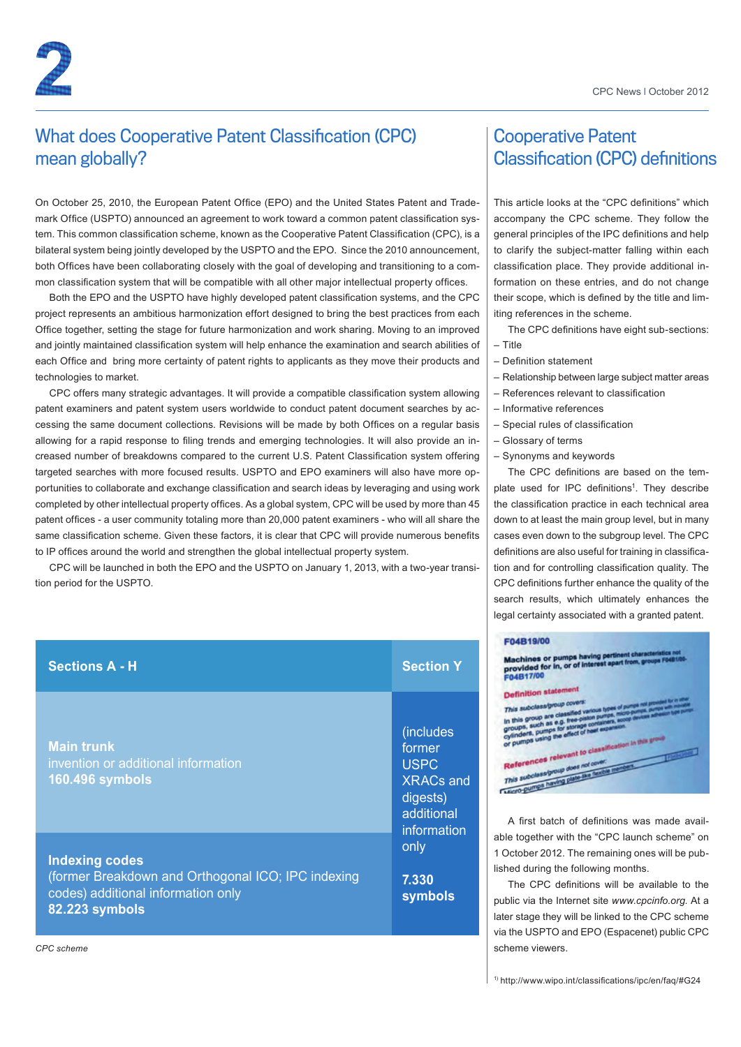# What does Cooperative Patent Classification (CPC) mean globally?

On October 25, 2010, the European Patent Office (EPO) and the United States Patent and Trademark Office (USPTO) announced an agreement to work toward a common patent classification system. This common classification scheme, known as the Cooperative Patent Classification (CPC), is a bilateral system being jointly developed by the USPTO and the EPO. Since the 2010 announcement, both Offices have been collaborating closely with the goal of developing and transitioning to a common classification system that will be compatible with all other major intellectual property offices.

Both the EPO and the USPTO have highly developed patent classification systems, and the CPC project represents an ambitious harmonization effort designed to bring the best practices from each Office together, setting the stage for future harmonization and work sharing. Moving to an improved and jointly maintained classification system will help enhance the examination and search abilities of each Office and bring more certainty of patent rights to applicants as they move their products and technologies to market.

CPC offers many strategic advantages. It will provide a compatible classification system allowing patent examiners and patent system users worldwide to conduct patent document searches by accessing the same document collections. Revisions will be made by both Offices on a regular basis allowing for a rapid response to filing trends and emerging technologies. It will also provide an increased number of breakdowns compared to the current U.S. Patent Classification system offering targeted searches with more focused results. USPTO and EPO examiners will also have more opportunities to collaborate and exchange classification and search ideas by leveraging and using work completed by other intellectual property offices. As a global system, CPC will be used by more than 45 patent offices - a user community totaling more than 20,000 patent examiners - who will all share the same classification scheme. Given these factors, it is clear that CPC will provide numerous benefits to IP offices around the world and strengthen the global intellectual property system.

CPC will be launched in both the EPO and the USPTO on January 1, 2013, with a two-year transition period for the USPTO.

| <b>Sections A - H</b>                                                                                                               | <b>Section Y</b>                                                                                                            |
|-------------------------------------------------------------------------------------------------------------------------------------|-----------------------------------------------------------------------------------------------------------------------------|
| <b>Main trunk</b><br>invention or additional information<br><b>160.496 symbols</b>                                                  | (includes<br>former<br><b>USPC</b><br><b>XRACs and</b><br>digests)<br>additional<br>information<br>only<br>7.330<br>symbols |
| <b>Indexing codes</b><br>(former Breakdown and Orthogonal ICO; IPC indexing<br>codes) additional information only<br>82.223 symbols |                                                                                                                             |

# Cooperative Patent Classification (CPC) definitions

This article looks at the "CPC definitions" which accompany the CPC scheme. They follow the general principles of the IPC definitions and help to clarify the subject-matter falling within each classification place. They provide additional information on these entries, and do not change their scope, which is defined by the title and limiting references in the scheme.

The CPC definitions have eight sub-sections: – Title

- Definition statement
- Relationship between large subject matter areas
- References relevant to classification
	- Informative references
	- Special rules of classification
	- Glossary of terms
	- Synonyms and keywords

The CPC definitions are based on the template used for IPC definitions<sup>1</sup>. They describe the classification practice in each technical area down to at least the main group level, but in many cases even down to the subgroup level. The CPC definitions are also useful for training in classification and for controlling classification quality. The CPC definitions further enhance the quality of the search results, which ultimately enhances the legal certainty associated with a granted patent.

### F04B19/00

| Machines or pumps having pertinent characteristics not<br>provided for in, or of interest apart from, groups F048100-<br>F04B17/00                              |  |
|-----------------------------------------------------------------------------------------------------------------------------------------------------------------|--|
| <b>Definition statement</b>                                                                                                                                     |  |
| This subcless/group covers:                                                                                                                                     |  |
| In this group are classified various types of pumps<br>groups, such as e.g. free-platon pumps, more pumps.<br>cylinders, pumps for storage containers, soop and |  |
| or pumps using the effect of heat expansion                                                                                                                     |  |
| References relevant to classification in this group                                                                                                             |  |
| This subclass/group does not cover:                                                                                                                             |  |
| Acro-pumps having plate are featile.                                                                                                                            |  |
|                                                                                                                                                                 |  |

A first batch of definitions was made available together with the "CPC launch scheme" on 1 October 2012. The remaining ones will be published during the following months.

The CPC definitions will be available to the public via the Internet site *www.cpcinfo.org*. At a later stage they will be linked to the CPC scheme via the USPTO and EPO (Espacenet) public CPC scheme viewers.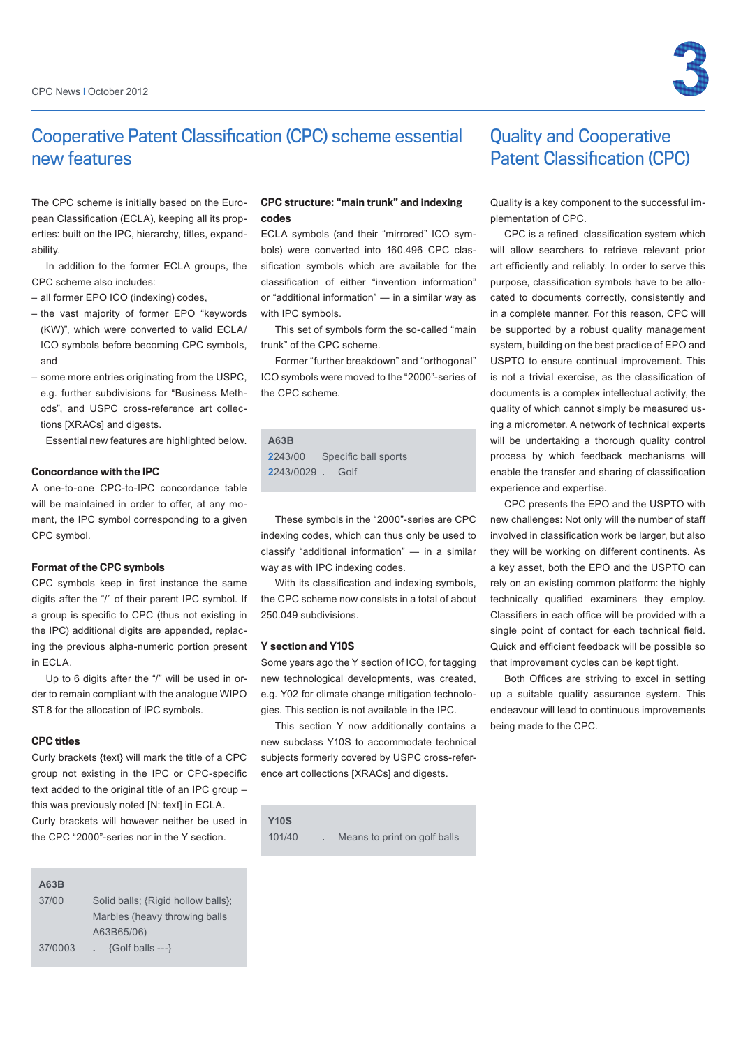

# Cooperative Patent Classification (CPC) scheme essential new features

The CPC scheme is initially based on the European Classification (ECLA), keeping all its properties: built on the IPC, hierarchy, titles, expandability.

In addition to the former ECLA groups, the CPC scheme also includes:

- all former EPO ICO (indexing) codes,
- the vast majority of former EPO "keywords (KW)", which were converted to valid ECLA/ ICO symbols before becoming CPC symbols, and
- some more entries originating from the USPC, e.g. further subdivisions for "Business Methods", and USPC cross-reference art collections [XRACs] and digests.

Essential new features are highlighted below.

### Concordance with the IPC

A one-to-one CPC-to-IPC concordance table will be maintained in order to offer, at any moment, the IPC symbol corresponding to a given CPC symbol.

### Format of the CPC symbols

CPC symbols keep in first instance the same digits after the "/" of their parent IPC symbol. If a group is specific to CPC (thus not existing in the IPC) additional digits are appended, replacing the previous alpha-numeric portion present in ECLA.

Up to 6 digits after the "/" will be used in order to remain compliant with the analogue WIPO ST.8 for the allocation of IPC symbols.

### CPC titles

Curly brackets {text} will mark the title of a CPC group not existing in the IPC or CPC-specific text added to the original title of an IPC group – this was previously noted [N: text] in ECLA. Curly brackets will however neither be used in the CPC "2000"-series nor in the Y section.

### CPC structure: "main trunk" and indexing codes

ECLA symbols (and their "mirrored" ICO symbols) were converted into 160.496 CPC classification symbols which are available for the classification of either "invention information" or "additional information" ― in a similar way as with IPC symbols.

This set of symbols form the so-called "main trunk" of the CPC scheme.

Former "further breakdown" and "orthogonal" ICO symbols were moved to the "2000"-series of the CPC scheme.

### **A63B 2**243/00 Specific ball sports **2**243/0029 **.** Golf

These symbols in the "2000"-series are CPC indexing codes, which can thus only be used to classify "additional information" ― in a similar way as with IPC indexing codes.

With its classification and indexing symbols. the CPC scheme now consists in a total of about 250.049 subdivisions.

### Y section and Y10S

Some years ago the Y section of ICO, for tagging new technological developments, was created, e.g. Y02 for climate change mitigation technologies. This section is not available in the IPC.

This section Y now additionally contains a new subclass Y10S to accommodate technical subjects formerly covered by USPC cross-reference art collections [XRACs] and digests.

**Y10S**

# Quality and Cooperative Patent Classification (CPC)

Quality is a key component to the successful implementation of CPC.

CPC is a refined classification system which will allow searchers to retrieve relevant prior art efficiently and reliably. In order to serve this purpose, classification symbols have to be allocated to documents correctly, consistently and in a complete manner. For this reason, CPC will be supported by a robust quality management system, building on the best practice of EPO and USPTO to ensure continual improvement. This is not a trivial exercise, as the classification of documents is a complex intellectual activity, the quality of which cannot simply be measured using a micrometer. A network of technical experts will be undertaking a thorough quality control process by which feedback mechanisms will enable the transfer and sharing of classification experience and expertise.

CPC presents the EPO and the USPTO with new challenges: Not only will the number of staff involved in classification work be larger, but also they will be working on different continents. As a key asset, both the EPO and the USPTO can rely on an existing common platform: the highly technically qualified examiners they employ. Classifiers in each office will be provided with a single point of contact for each technical field. Quick and efficient feedback will be possible so that improvement cycles can be kept tight.

Both Offices are striving to excel in setting up a suitable quality assurance system. This endeavour will lead to continuous improvements being made to the CPC.

### **A63B**

37/00 Solid balls; {Rigid hollow balls}; Marbles (heavy throwing balls A63B65/06) 37/0003 **.** {Golf balls ---}

101/40 **.** Means to print on golf balls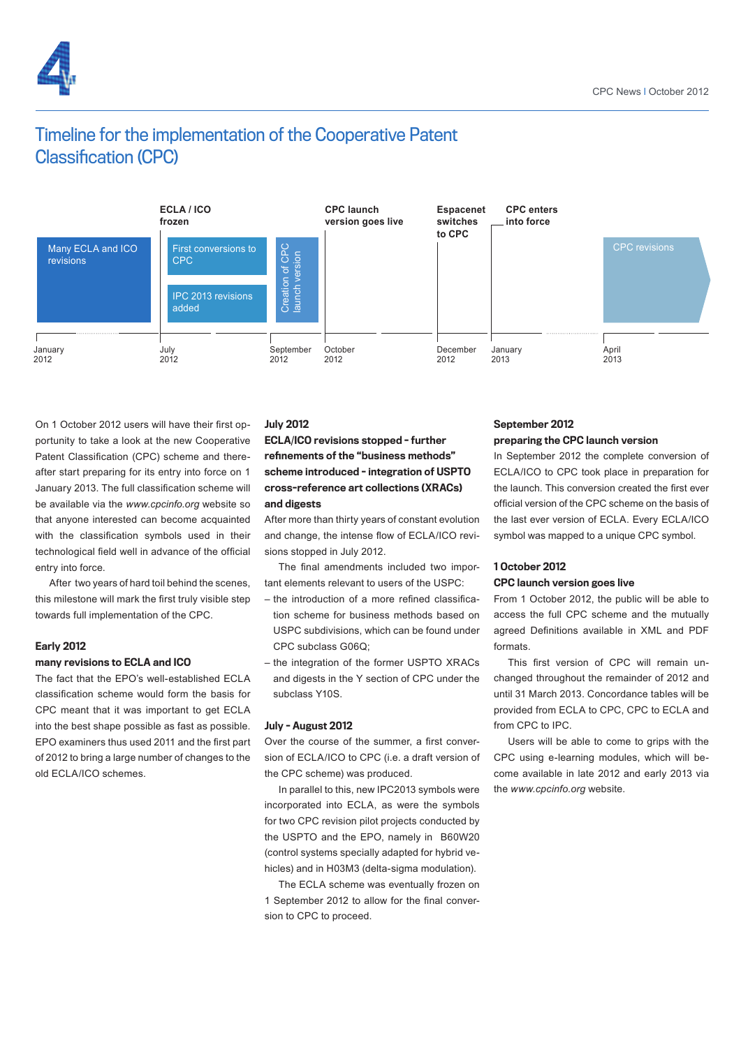

# Timeline for the implementation of the Cooperative Patent Classification (CPC)



On 1 October 2012 users will have their first opportunity to take a look at the new Cooperative Patent Classification (CPC) scheme and thereafter start preparing for its entry into force on 1 January 2013. The full classification scheme will be available via the *www.cpcinfo.org* website so that anyone interested can become acquainted with the classification symbols used in their technological field well in advance of the official entry into force.

After two years of hard toil behind the scenes, this milestone will mark the first truly visible step towards full implementation of the CPC.

### Early 2012

### many revisions to ECLA and ICO

The fact that the EPO's well-established ECLA classification scheme would form the basis for CPC meant that it was important to get ECLA into the best shape possible as fast as possible. EPO examiners thus used 2011 and the first part of 2012 to bring a large number of changes to the old ECLA/ICO schemes.

### July 2012

## ECLA/ICO revisions stopped - further refinements of the "business methods" scheme introduced - integration of USPTO cross-reference art collections (XRACs) and digests

After more than thirty years of constant evolution and change, the intense flow of ECLA/ICO revisions stopped in July 2012.

The final amendments included two important elements relevant to users of the USPC:

- the introduction of a more refined classification scheme for business methods based on USPC subdivisions, which can be found under CPC subclass G06Q;
- the integration of the former USPTO XRACs and digests in the Y section of CPC under the subclass Y10S.

### July - August 2012

Over the course of the summer, a first conversion of ECLA/ICO to CPC (i.e. a draft version of the CPC scheme) was produced.

In parallel to this, new IPC2013 symbols were incorporated into ECLA, as were the symbols for two CPC revision pilot projects conducted by the USPTO and the EPO, namely in B60W20 (control systems specially adapted for hybrid vehicles) and in H03M3 (delta-sigma modulation).

The ECLA scheme was eventually frozen on 1 September 2012 to allow for the final conversion to CPC to proceed.

# September 2012

### preparing the CPC launch version

In September 2012 the complete conversion of ECLA/ICO to CPC took place in preparation for the launch. This conversion created the first ever official version of the CPC scheme on the basis of the last ever version of ECLA. Every ECLA/ICO symbol was mapped to a unique CPC symbol.

### 1 October 2012 CPC launch version goes live

From 1 October 2012, the public will be able to access the full CPC scheme and the mutually agreed Definitions available in XML and PDF formats.

This first version of CPC will remain unchanged throughout the remainder of 2012 and until 31 March 2013. Concordance tables will be provided from ECLA to CPC, CPC to ECLA and from CPC to IPC.

Users will be able to come to grips with the CPC using e-learning modules, which will become available in late 2012 and early 2013 via the *www.cpcinfo.org* website.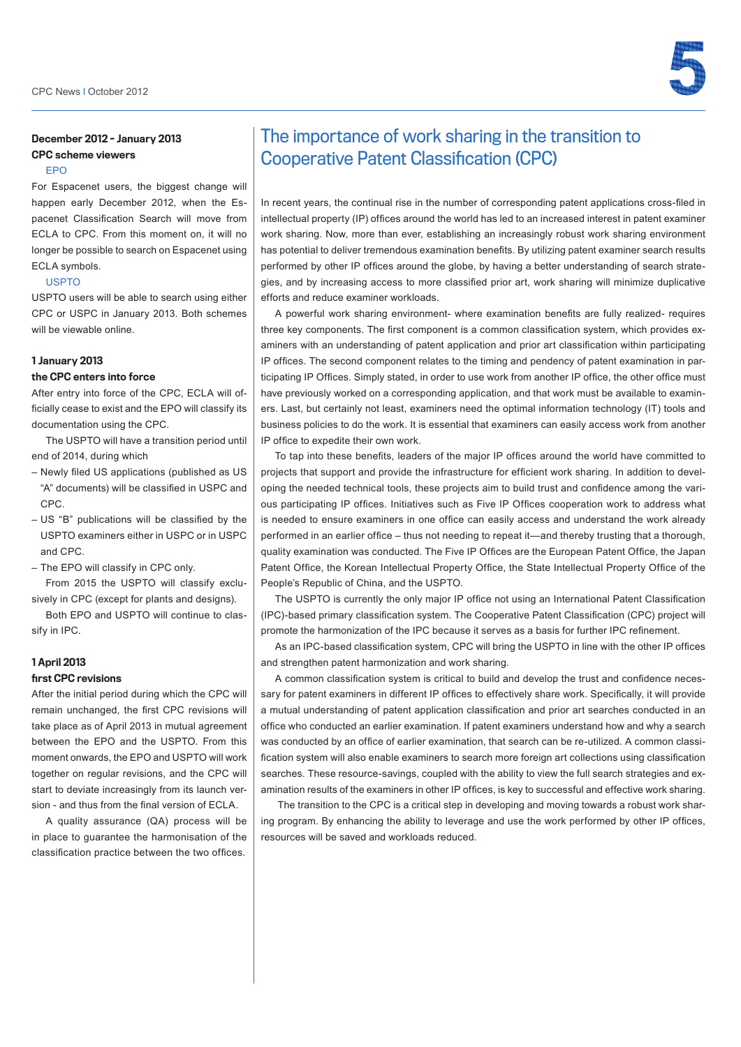

## December 2012 - January 2013 CPC scheme viewers

### EPO

For Espacenet users, the biggest change will happen early December 2012, when the Espacenet Classification Search will move from ECLA to CPC. From this moment on, it will no longer be possible to search on Espacenet using ECLA symbols.

### USPTO

USPTO users will be able to search using either CPC or USPC in January 2013. Both schemes will be viewable online.

### 1 January 2013

### the CPC enters into force

After entry into force of the CPC, ECLA will officially cease to exist and the EPO will classify its documentation using the CPC.

The USPTO will have a transition period until end of 2014, during which

- Newly filed US applications (published as US "A" documents) will be classified in USPC and CPC.
- US "B" publications will be classified by the USPTO examiners either in USPC or in USPC and CPC.

– The EPO will classify in CPC only.

From 2015 the USPTO will classify exclusively in CPC (except for plants and designs).

Both EPO and USPTO will continue to classify in IPC.

### 1 April 2013

### first CPC revisions

After the initial period during which the CPC will remain unchanged, the first CPC revisions will take place as of April 2013 in mutual agreement between the EPO and the USPTO. From this moment onwards, the EPO and USPTO will work together on regular revisions, and the CPC will start to deviate increasingly from its launch version - and thus from the final version of ECLA.

A quality assurance (QA) process will be in place to guarantee the harmonisation of the classification practice between the two offices.

# The importance of work sharing in the transition to Cooperative Patent Classification (CPC)

In recent years, the continual rise in the number of corresponding patent applications cross-filed in intellectual property (IP) offices around the world has led to an increased interest in patent examiner work sharing. Now, more than ever, establishing an increasingly robust work sharing environment has potential to deliver tremendous examination benefits. By utilizing patent examiner search results performed by other IP offices around the globe, by having a better understanding of search strategies, and by increasing access to more classified prior art, work sharing will minimize duplicative efforts and reduce examiner workloads.

A powerful work sharing environment- where examination benefits are fully realized- requires three key components. The first component is a common classification system, which provides examiners with an understanding of patent application and prior art classification within participating IP offices. The second component relates to the timing and pendency of patent examination in participating IP Offices. Simply stated, in order to use work from another IP office, the other office must have previously worked on a corresponding application, and that work must be available to examiners. Last, but certainly not least, examiners need the optimal information technology (IT) tools and business policies to do the work. It is essential that examiners can easily access work from another IP office to expedite their own work.

To tap into these benefits, leaders of the major IP offices around the world have committed to projects that support and provide the infrastructure for efficient work sharing. In addition to developing the needed technical tools, these projects aim to build trust and confidence among the various participating IP offices. Initiatives such as Five IP Offices cooperation work to address what is needed to ensure examiners in one office can easily access and understand the work already performed in an earlier office – thus not needing to repeat it—and thereby trusting that a thorough, quality examination was conducted. The Five IP Offices are the European Patent Office, the Japan Patent Office, the Korean Intellectual Property Office, the State Intellectual Property Office of the People's Republic of China, and the USPTO.

The USPTO is currently the only major IP office not using an International Patent Classification (IPC)-based primary classification system. The Cooperative Patent Classification (CPC) project will promote the harmonization of the IPC because it serves as a basis for further IPC refinement.

As an IPC-based classification system, CPC will bring the USPTO in line with the other IP offices and strengthen patent harmonization and work sharing.

A common classification system is critical to build and develop the trust and confidence necessary for patent examiners in different IP offices to effectively share work. Specifically, it will provide a mutual understanding of patent application classification and prior art searches conducted in an office who conducted an earlier examination. If patent examiners understand how and why a search was conducted by an office of earlier examination, that search can be re-utilized. A common classification system will also enable examiners to search more foreign art collections using classification searches. These resource-savings, coupled with the ability to view the full search strategies and examination results of the examiners in other IP offices, is key to successful and effective work sharing.

 The transition to the CPC is a critical step in developing and moving towards a robust work sharing program. By enhancing the ability to leverage and use the work performed by other IP offices, resources will be saved and workloads reduced.